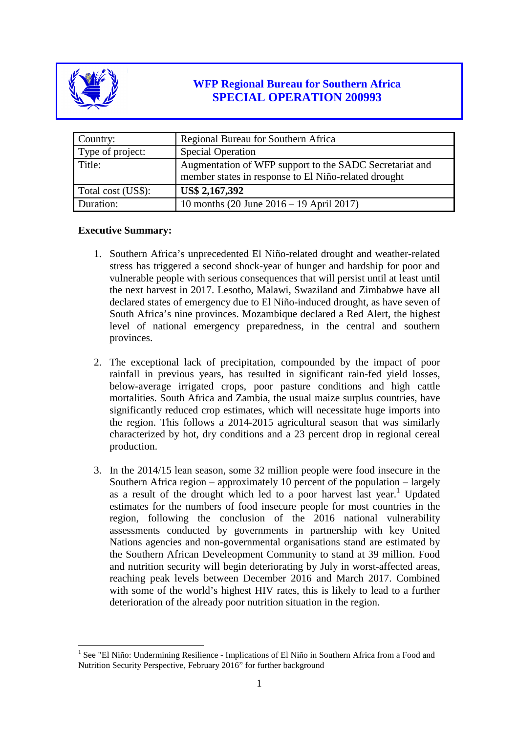

# **WFP Regional Bureau for Southern Africa SPECIAL OPERATION 200993**

| Country:           | Regional Bureau for Southern Africa                                                                             |
|--------------------|-----------------------------------------------------------------------------------------------------------------|
| Type of project:   | <b>Special Operation</b>                                                                                        |
| Title:             | Augmentation of WFP support to the SADC Secretariat and<br>member states in response to El Niño-related drought |
| Total cost (US\$): | US\$ 2,167,392                                                                                                  |
| Duration:          | 10 months (20 June $2016 - 19$ April 2017)                                                                      |

## **Executive Summary:**

- 1. Southern Africa's unprecedented El Niño-related drought and weather-related stress has triggered a second shock-year of hunger and hardship for poor and vulnerable people with serious consequences that will persist until at least until the next harvest in 2017. Lesotho, Malawi, Swaziland and Zimbabwe have all declared states of emergency due to El Niño-induced drought, as have seven of South Africa's nine provinces. Mozambique declared a Red Alert, the highest level of national emergency preparedness, in the central and southern provinces.
- 2. The exceptional lack of precipitation, compounded by the impact of poor rainfall in previous years, has resulted in significant rain-fed yield losses, below-average irrigated crops, poor pasture conditions and high cattle mortalities. South Africa and Zambia, the usual maize surplus countries, have significantly reduced crop estimates, which will necessitate huge imports into the region. This follows a 2014-2015 agricultural season that was similarly characterized by hot, dry conditions and a 23 percent drop in regional cereal production.
- 3. In the 2014/15 lean season, some 32 million people were food insecure in the Southern Africa region – approximately 10 percent of the population – largely as a result of the drought which led to a poor harvest last year.<sup>1</sup> Updated estimates for the numbers of food insecure people for most countries in the region, following the conclusion of the 2016 national vulnerability assessments conducted by governments in partnership with key United Nations agencies and non-governmental organisations stand are estimated by the Southern African Develeopment Community to stand at 39 million. Food and nutrition security will begin deteriorating by July in worst-affected areas, reaching peak levels between December 2016 and March 2017. Combined with some of the world's highest HIV rates, this is likely to lead to a further deterioration of the already poor nutrition situation in the region.

<sup>&</sup>lt;sup>1</sup> See "El Niño: Undermining Resilience - Implications of El Niño in Southern Africa from a Food and Nutrition Security Perspective, February 2016" for further background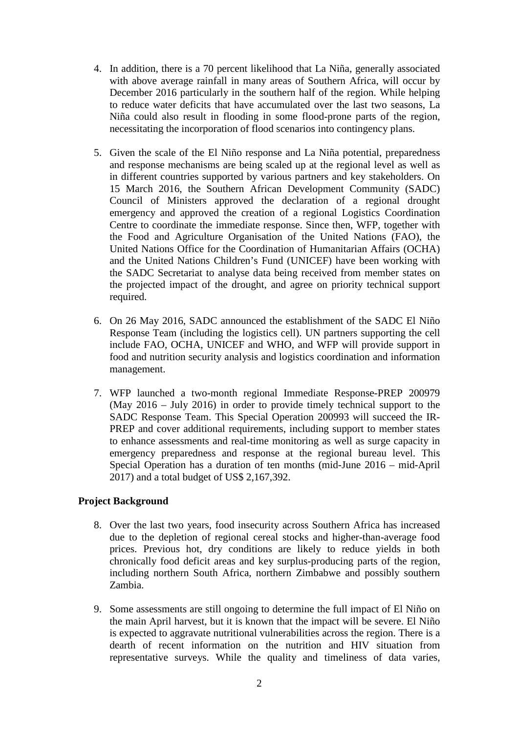- 4. In addition, there is a 70 percent likelihood that La Niña, generally associated with above average rainfall in many areas of Southern Africa, will occur by December 2016 particularly in the southern half of the region. While helping to reduce water deficits that have accumulated over the last two seasons, La Niña could also result in flooding in some flood-prone parts of the region, necessitating the incorporation of flood scenarios into contingency plans.
- 5. Given the scale of the El Niño response and La Niña potential, preparedness and response mechanisms are being scaled up at the regional level as well as in different countries supported by various partners and key stakeholders. On 15 March 2016, the Southern African Development Community (SADC) Council of Ministers approved the declaration of a regional drought emergency and approved the creation of a regional Logistics Coordination Centre to coordinate the immediate response. Since then, WFP, together with the Food and Agriculture Organisation of the United Nations (FAO), the United Nations Office for the Coordination of Humanitarian Affairs (OCHA) and the United Nations Children's Fund (UNICEF) have been working with the SADC Secretariat to analyse data being received from member states on the projected impact of the drought, and agree on priority technical support required.
- 6. On 26 May 2016, SADC announced the establishment of the SADC El Niño Response Team (including the logistics cell). UN partners supporting the cell include FAO, OCHA, UNICEF and WHO, and WFP will provide support in food and nutrition security analysis and logistics coordination and information management.
- 7. WFP launched a two-month regional Immediate Response-PREP 200979 (May 2016 – July 2016) in order to provide timely technical support to the SADC Response Team. This Special Operation 200993 will succeed the IR-PREP and cover additional requirements, including support to member states to enhance assessments and real-time monitoring as well as surge capacity in emergency preparedness and response at the regional bureau level. This Special Operation has a duration of ten months (mid-June 2016 – mid-April 2017) and a total budget of US\$ 2,167,392.

## **Project Background**

- 8. Over the last two years, food insecurity across Southern Africa has increased due to the depletion of regional cereal stocks and higher-than-average food prices. Previous hot, dry conditions are likely to reduce yields in both chronically food deficit areas and key surplus-producing parts of the region, including northern South Africa, northern Zimbabwe and possibly southern Zambia.
- 9. Some assessments are still ongoing to determine the full impact of El Niño on the main April harvest, but it is known that the impact will be severe. El Niño is expected to aggravate nutritional vulnerabilities across the region. There is a dearth of recent information on the nutrition and HIV situation from representative surveys. While the quality and timeliness of data varies,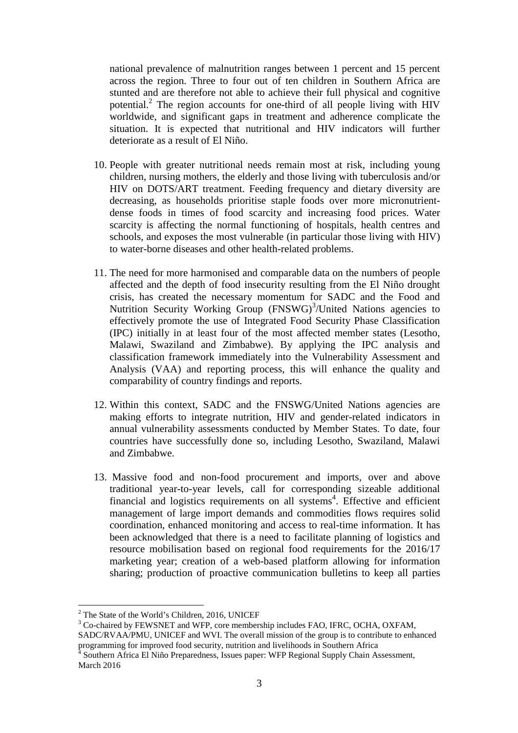national prevalence of malnutrition ranges between 1 percent and 15 percent across the region. Three to four out of ten children in Southern Africa are stunted and are therefore not able to achieve their full physical and cognitive potential.2 The region accounts for one-third of all people living with HIV worldwide, and significant gaps in treatment and adherence complicate the situation. It is expected that nutritional and HIV indicators will further deteriorate as a result of El Niño.

- 10. People with greater nutritional needs remain most at risk, including young children, nursing mothers, the elderly and those living with tuberculosis and/or HIV on DOTS/ART treatment. Feeding frequency and dietary diversity are decreasing, as households prioritise staple foods over more micronutrientdense foods in times of food scarcity and increasing food prices. Water scarcity is affecting the normal functioning of hospitals, health centres and schools, and exposes the most vulnerable (in particular those living with HIV) to water-borne diseases and other health-related problems.
- 11. The need for more harmonised and comparable data on the numbers of people affected and the depth of food insecurity resulting from the El Niño drought crisis, has created the necessary momentum for SADC and the Food and Nutrition Security Working Group (FNSWG)<sup>3</sup>/United Nations agencies to effectively promote the use of Integrated Food Security Phase Classification (IPC) initially in at least four of the most affected member states (Lesotho, Malawi, Swaziland and Zimbabwe). By applying the IPC analysis and classification framework immediately into the Vulnerability Assessment and Analysis (VAA) and reporting process, this will enhance the quality and comparability of country findings and reports.
- 12. Within this context, SADC and the FNSWG/United Nations agencies are making efforts to integrate nutrition, HIV and gender-related indicators in annual vulnerability assessments conducted by Member States. To date, four countries have successfully done so, including Lesotho, Swaziland, Malawi and Zimbabwe.
- 13. Massive food and non-food procurement and imports, over and above traditional year-to-year levels, call for corresponding sizeable additional financial and logistics requirements on all systems<sup>4</sup>. Effective and efficient management of large import demands and commodities flows requires solid coordination, enhanced monitoring and access to real-time information. It has been acknowledged that there is a need to facilitate planning of logistics and resource mobilisation based on regional food requirements for the 2016/17 marketing year; creation of a web-based platform allowing for information sharing; production of proactive communication bulletins to keep all parties

 $2$ <sup>2</sup> The State of the World's Children, 2016, UNICEF

<sup>&</sup>lt;sup>3</sup> Co-chaired by FEWSNET and WFP, core membership includes FAO, IFRC, OCHA, OXFAM,

SADC/RVAA/PMU, UNICEF and WVI. The overall mission of the group is to contribute to enhanced programming for improved food security, nutrition and livelihoods in Southern Africa

<sup>4</sup> Southern Africa El Niño Preparedness, Issues paper: WFP Regional Supply Chain Assessment, March 2016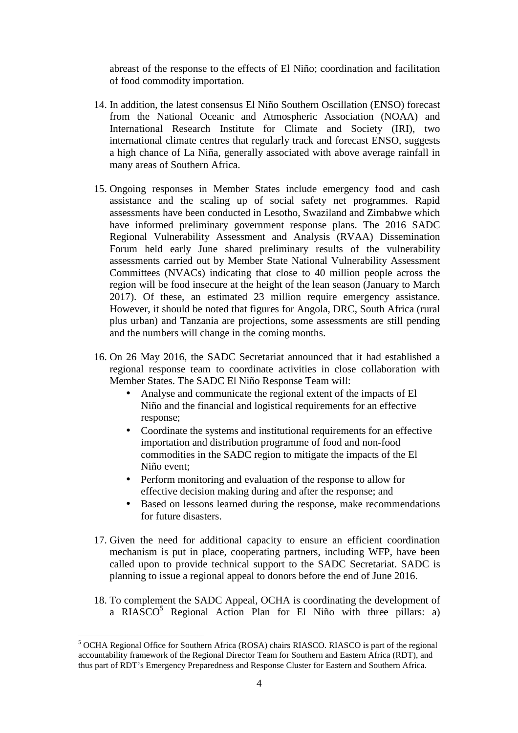abreast of the response to the effects of El Niño; coordination and facilitation of food commodity importation.

- 14. In addition, the latest consensus El Niño Southern Oscillation (ENSO) forecast from the National Oceanic and Atmospheric Association (NOAA) and International Research Institute for Climate and Society (IRI), two international climate centres that regularly track and forecast ENSO, suggests a high chance of La Niña, generally associated with above average rainfall in many areas of Southern Africa.
- 15. Ongoing responses in Member States include emergency food and cash assistance and the scaling up of social safety net programmes. Rapid assessments have been conducted in Lesotho, Swaziland and Zimbabwe which have informed preliminary government response plans. The 2016 SADC Regional Vulnerability Assessment and Analysis (RVAA) Dissemination Forum held early June shared preliminary results of the vulnerability assessments carried out by Member State National Vulnerability Assessment Committees (NVACs) indicating that close to 40 million people across the region will be food insecure at the height of the lean season (January to March 2017). Of these, an estimated 23 million require emergency assistance. However, it should be noted that figures for Angola, DRC, South Africa (rural plus urban) and Tanzania are projections, some assessments are still pending and the numbers will change in the coming months.
- 16. On 26 May 2016, the SADC Secretariat announced that it had established a regional response team to coordinate activities in close collaboration with Member States. The SADC El Niño Response Team will:
	- Analyse and communicate the regional extent of the impacts of El Niño and the financial and logistical requirements for an effective response;
	- Coordinate the systems and institutional requirements for an effective importation and distribution programme of food and non-food commodities in the SADC region to mitigate the impacts of the El Niño event;
	- Perform monitoring and evaluation of the response to allow for effective decision making during and after the response; and
	- Based on lessons learned during the response, make recommendations for future disasters.
- 17. Given the need for additional capacity to ensure an efficient coordination mechanism is put in place, cooperating partners, including WFP, have been called upon to provide technical support to the SADC Secretariat. SADC is planning to issue a regional appeal to donors before the end of June 2016.
- 18. To complement the SADC Appeal, OCHA is coordinating the development of a RIASCO<sup>5</sup> Regional Action Plan for El Niño with three pillars: a)

<sup>5</sup> OCHA Regional Office for Southern Africa (ROSA) chairs RIASCO. RIASCO is part of the regional accountability framework of the Regional Director Team for Southern and Eastern Africa (RDT), and thus part of RDT's Emergency Preparedness and Response Cluster for Eastern and Southern Africa.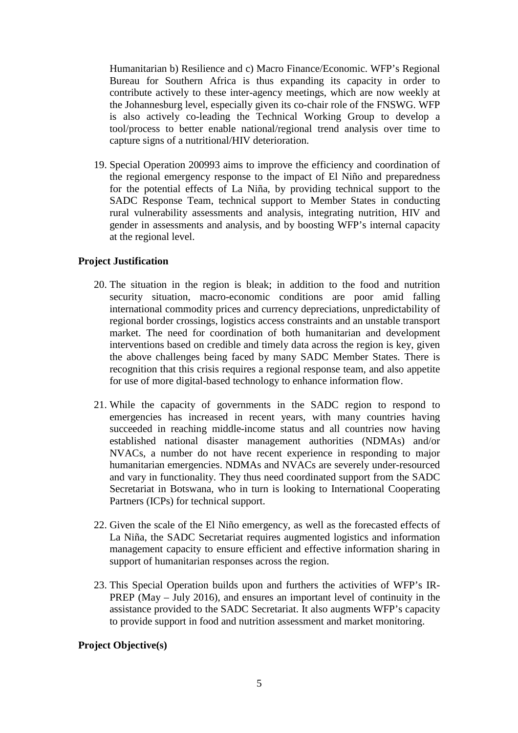Humanitarian b) Resilience and c) Macro Finance/Economic. WFP's Regional Bureau for Southern Africa is thus expanding its capacity in order to contribute actively to these inter-agency meetings, which are now weekly at the Johannesburg level, especially given its co-chair role of the FNSWG. WFP is also actively co-leading the Technical Working Group to develop a tool/process to better enable national/regional trend analysis over time to capture signs of a nutritional/HIV deterioration.

19. Special Operation 200993 aims to improve the efficiency and coordination of the regional emergency response to the impact of El Niño and preparedness for the potential effects of La Niña, by providing technical support to the SADC Response Team, technical support to Member States in conducting rural vulnerability assessments and analysis, integrating nutrition, HIV and gender in assessments and analysis, and by boosting WFP's internal capacity at the regional level.

## **Project Justification**

- 20. The situation in the region is bleak; in addition to the food and nutrition security situation, macro-economic conditions are poor amid falling international commodity prices and currency depreciations, unpredictability of regional border crossings, logistics access constraints and an unstable transport market. The need for coordination of both humanitarian and development interventions based on credible and timely data across the region is key, given the above challenges being faced by many SADC Member States. There is recognition that this crisis requires a regional response team, and also appetite for use of more digital-based technology to enhance information flow.
- 21. While the capacity of governments in the SADC region to respond to emergencies has increased in recent years, with many countries having succeeded in reaching middle-income status and all countries now having established national disaster management authorities (NDMAs) and/or NVACs, a number do not have recent experience in responding to major humanitarian emergencies. NDMAs and NVACs are severely under-resourced and vary in functionality. They thus need coordinated support from the SADC Secretariat in Botswana, who in turn is looking to International Cooperating Partners (ICPs) for technical support.
- 22. Given the scale of the El Niño emergency, as well as the forecasted effects of La Niña, the SADC Secretariat requires augmented logistics and information management capacity to ensure efficient and effective information sharing in support of humanitarian responses across the region.
- 23. This Special Operation builds upon and furthers the activities of WFP's IR-PREP (May – July 2016), and ensures an important level of continuity in the assistance provided to the SADC Secretariat. It also augments WFP's capacity to provide support in food and nutrition assessment and market monitoring.

#### **Project Objective(s)**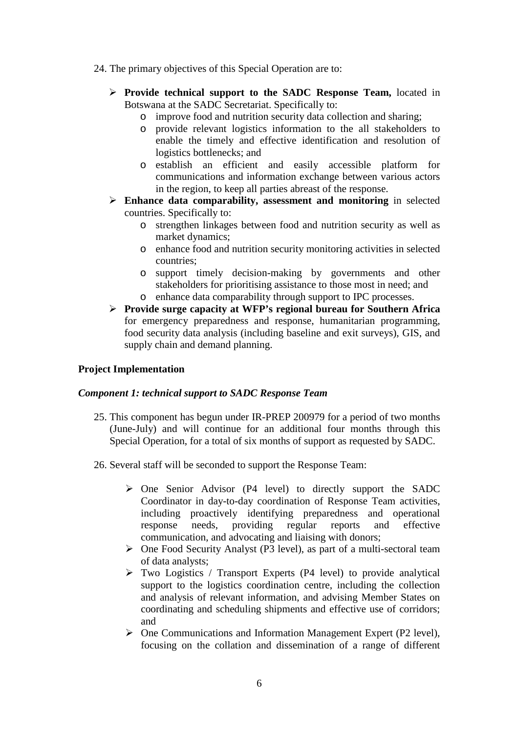- 24. The primary objectives of this Special Operation are to:
	- **Provide technical support to the SADC Response Team,** located in Botswana at the SADC Secretariat. Specifically to:
		- o improve food and nutrition security data collection and sharing;
		- o provide relevant logistics information to the all stakeholders to enable the timely and effective identification and resolution of logistics bottlenecks; and
		- o establish an efficient and easily accessible platform for communications and information exchange between various actors in the region, to keep all parties abreast of the response.
	- **Enhance data comparability, assessment and monitoring** in selected countries. Specifically to:
		- o strengthen linkages between food and nutrition security as well as market dynamics;
		- o enhance food and nutrition security monitoring activities in selected countries;
		- o support timely decision-making by governments and other stakeholders for prioritising assistance to those most in need; and
		- o enhance data comparability through support to IPC processes.
	- **Provide surge capacity at WFP's regional bureau for Southern Africa**  for emergency preparedness and response, humanitarian programming, food security data analysis (including baseline and exit surveys), GIS, and supply chain and demand planning.

#### **Project Implementation**

#### *Component 1: technical support to SADC Response Team*

- 25. This component has begun under IR-PREP 200979 for a period of two months (June-July) and will continue for an additional four months through this Special Operation, for a total of six months of support as requested by SADC.
- 26. Several staff will be seconded to support the Response Team:
	- One Senior Advisor (P4 level) to directly support the SADC Coordinator in day-to-day coordination of Response Team activities, including proactively identifying preparedness and operational response needs, providing regular reports and effective communication, and advocating and liaising with donors;
	- $\triangleright$  One Food Security Analyst (P3 level), as part of a multi-sectoral team of data analysts;
	- $\triangleright$  Two Logistics / Transport Experts (P4 level) to provide analytical support to the logistics coordination centre, including the collection and analysis of relevant information, and advising Member States on coordinating and scheduling shipments and effective use of corridors; and
	- One Communications and Information Management Expert (P2 level), focusing on the collation and dissemination of a range of different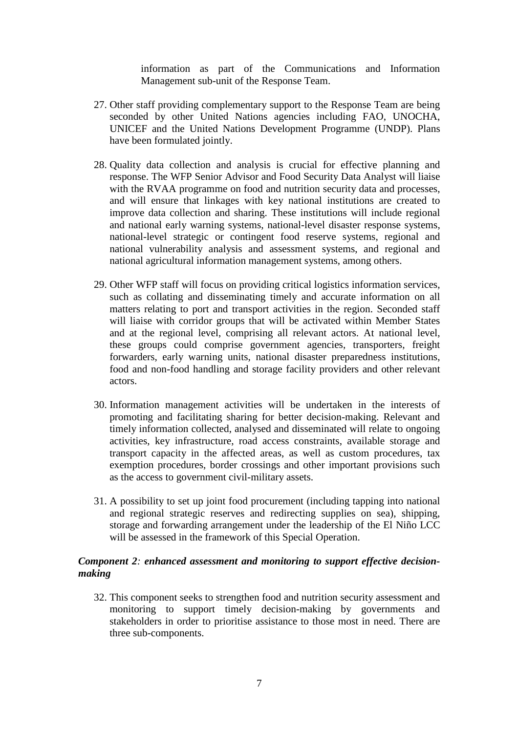information as part of the Communications and Information Management sub-unit of the Response Team.

- 27. Other staff providing complementary support to the Response Team are being seconded by other United Nations agencies including FAO, UNOCHA, UNICEF and the United Nations Development Programme (UNDP). Plans have been formulated jointly.
- 28. Quality data collection and analysis is crucial for effective planning and response. The WFP Senior Advisor and Food Security Data Analyst will liaise with the RVAA programme on food and nutrition security data and processes, and will ensure that linkages with key national institutions are created to improve data collection and sharing. These institutions will include regional and national early warning systems, national-level disaster response systems, national-level strategic or contingent food reserve systems, regional and national vulnerability analysis and assessment systems, and regional and national agricultural information management systems, among others.
- 29. Other WFP staff will focus on providing critical logistics information services, such as collating and disseminating timely and accurate information on all matters relating to port and transport activities in the region. Seconded staff will liaise with corridor groups that will be activated within Member States and at the regional level, comprising all relevant actors. At national level, these groups could comprise government agencies, transporters, freight forwarders, early warning units, national disaster preparedness institutions, food and non-food handling and storage facility providers and other relevant actors.
- 30. Information management activities will be undertaken in the interests of promoting and facilitating sharing for better decision-making. Relevant and timely information collected, analysed and disseminated will relate to ongoing activities, key infrastructure, road access constraints, available storage and transport capacity in the affected areas, as well as custom procedures, tax exemption procedures, border crossings and other important provisions such as the access to government civil-military assets.
- 31. A possibility to set up joint food procurement (including tapping into national and regional strategic reserves and redirecting supplies on sea), shipping, storage and forwarding arrangement under the leadership of the El Niño LCC will be assessed in the framework of this Special Operation.

## *Component 2: enhanced assessment and monitoring to support effective decisionmaking*

32. This component seeks to strengthen food and nutrition security assessment and monitoring to support timely decision-making by governments and stakeholders in order to prioritise assistance to those most in need. There are three sub-components.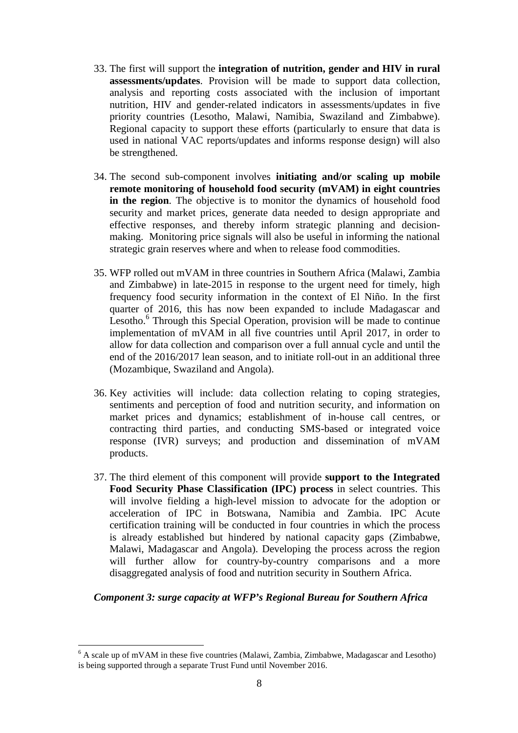- 33. The first will support the **integration of nutrition, gender and HIV in rural assessments/updates**. Provision will be made to support data collection, analysis and reporting costs associated with the inclusion of important nutrition, HIV and gender-related indicators in assessments/updates in five priority countries (Lesotho, Malawi, Namibia, Swaziland and Zimbabwe). Regional capacity to support these efforts (particularly to ensure that data is used in national VAC reports/updates and informs response design) will also be strengthened.
- 34. The second sub-component involves **initiating and/or scaling up mobile remote monitoring of household food security (mVAM) in eight countries in the region**. The objective is to monitor the dynamics of household food security and market prices, generate data needed to design appropriate and effective responses, and thereby inform strategic planning and decisionmaking. Monitoring price signals will also be useful in informing the national strategic grain reserves where and when to release food commodities.
- 35. WFP rolled out mVAM in three countries in Southern Africa (Malawi, Zambia and Zimbabwe) in late-2015 in response to the urgent need for timely, high frequency food security information in the context of El Niño. In the first quarter of 2016, this has now been expanded to include Madagascar and Lesotho.<sup>6</sup> Through this Special Operation, provision will be made to continue implementation of mVAM in all five countries until April 2017, in order to allow for data collection and comparison over a full annual cycle and until the end of the 2016/2017 lean season, and to initiate roll-out in an additional three (Mozambique, Swaziland and Angola).
- 36. Key activities will include: data collection relating to coping strategies, sentiments and perception of food and nutrition security, and information on market prices and dynamics; establishment of in-house call centres, or contracting third parties, and conducting SMS-based or integrated voice response (IVR) surveys; and production and dissemination of mVAM products.
- 37. The third element of this component will provide **support to the Integrated Food Security Phase Classification (IPC) process** in select countries. This will involve fielding a high-level mission to advocate for the adoption or acceleration of IPC in Botswana, Namibia and Zambia. IPC Acute certification training will be conducted in four countries in which the process is already established but hindered by national capacity gaps (Zimbabwe, Malawi, Madagascar and Angola). Developing the process across the region will further allow for country-by-country comparisons and a more disaggregated analysis of food and nutrition security in Southern Africa.

#### *Component 3: surge capacity at WFP's Regional Bureau for Southern Africa*

 $6$  A scale up of mVAM in these five countries (Malawi, Zambia, Zimbabwe, Madagascar and Lesotho) is being supported through a separate Trust Fund until November 2016.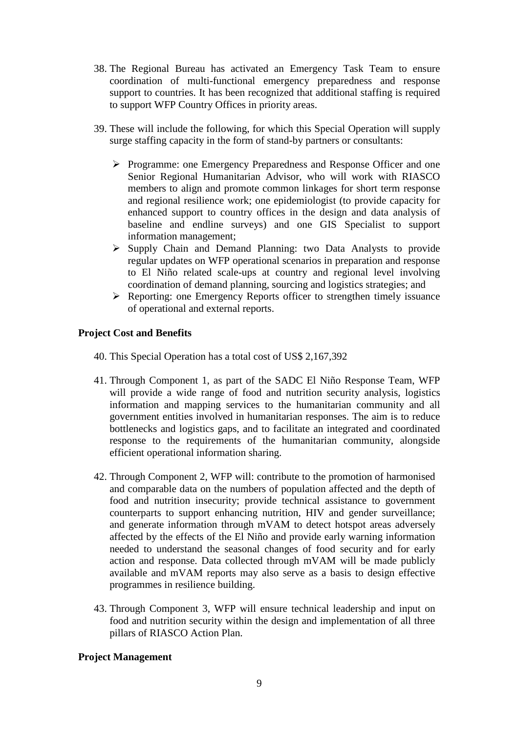- 38. The Regional Bureau has activated an Emergency Task Team to ensure coordination of multi-functional emergency preparedness and response support to countries. It has been recognized that additional staffing is required to support WFP Country Offices in priority areas.
- 39. These will include the following, for which this Special Operation will supply surge staffing capacity in the form of stand-by partners or consultants:
	- Programme: one Emergency Preparedness and Response Officer and one Senior Regional Humanitarian Advisor, who will work with RIASCO members to align and promote common linkages for short term response and regional resilience work; one epidemiologist (to provide capacity for enhanced support to country offices in the design and data analysis of baseline and endline surveys) and one GIS Specialist to support information management;
	- $\triangleright$  Supply Chain and Demand Planning: two Data Analysts to provide regular updates on WFP operational scenarios in preparation and response to El Niño related scale-ups at country and regional level involving coordination of demand planning, sourcing and logistics strategies; and
	- Reporting: one Emergency Reports officer to strengthen timely issuance of operational and external reports.

#### **Project Cost and Benefits**

- 40. This Special Operation has a total cost of US\$ 2,167,392
- 41. Through Component 1, as part of the SADC El Niño Response Team, WFP will provide a wide range of food and nutrition security analysis, logistics information and mapping services to the humanitarian community and all government entities involved in humanitarian responses. The aim is to reduce bottlenecks and logistics gaps, and to facilitate an integrated and coordinated response to the requirements of the humanitarian community, alongside efficient operational information sharing.
- 42. Through Component 2, WFP will: contribute to the promotion of harmonised and comparable data on the numbers of population affected and the depth of food and nutrition insecurity; provide technical assistance to government counterparts to support enhancing nutrition, HIV and gender surveillance; and generate information through mVAM to detect hotspot areas adversely affected by the effects of the El Niño and provide early warning information needed to understand the seasonal changes of food security and for early action and response. Data collected through mVAM will be made publicly available and mVAM reports may also serve as a basis to design effective programmes in resilience building.
- 43. Through Component 3, WFP will ensure technical leadership and input on food and nutrition security within the design and implementation of all three pillars of RIASCO Action Plan.

#### **Project Management**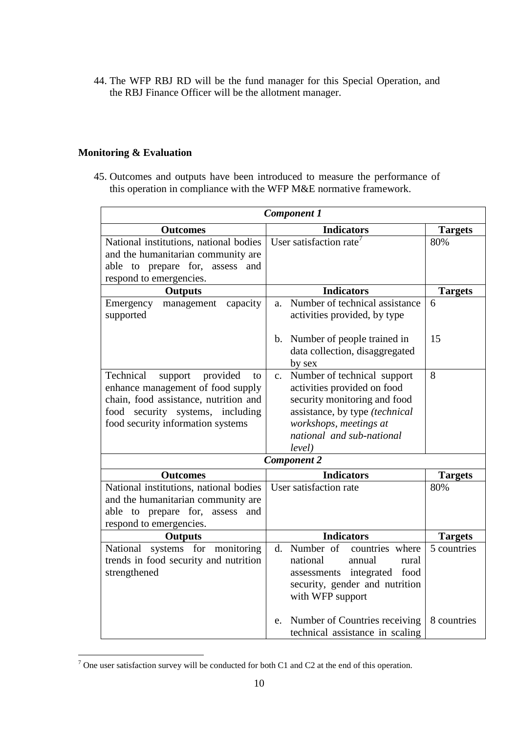44. The WFP RBJ RD will be the fund manager for this Special Operation, and the RBJ Finance Officer will be the allotment manager.

## **Monitoring & Evaluation**

45. Outcomes and outputs have been introduced to measure the performance of this operation in compliance with the WFP M&E normative framework.

| <b>Component 1</b>                                                                                                                                                                            |                                                                                                                                                                                                                 |                |  |  |  |  |  |
|-----------------------------------------------------------------------------------------------------------------------------------------------------------------------------------------------|-----------------------------------------------------------------------------------------------------------------------------------------------------------------------------------------------------------------|----------------|--|--|--|--|--|
| <b>Outcomes</b>                                                                                                                                                                               | <b>Indicators</b>                                                                                                                                                                                               | <b>Targets</b> |  |  |  |  |  |
| National institutions, national bodies<br>and the humanitarian community are<br>able to prepare for,<br>assess and<br>respond to emergencies.                                                 | User satisfaction rate <sup>7</sup>                                                                                                                                                                             | 80%            |  |  |  |  |  |
| <b>Outputs</b>                                                                                                                                                                                | <b>Indicators</b>                                                                                                                                                                                               | <b>Targets</b> |  |  |  |  |  |
| Emergency<br>management<br>capacity<br>supported                                                                                                                                              | Number of technical assistance<br>a.<br>activities provided, by type                                                                                                                                            | 6              |  |  |  |  |  |
|                                                                                                                                                                                               | Number of people trained in<br>b.<br>data collection, disaggregated<br>by sex                                                                                                                                   | 15             |  |  |  |  |  |
| Technical<br>provided<br>support<br>to<br>enhance management of food supply<br>chain, food assistance, nutrition and<br>food security systems, including<br>food security information systems | Number of technical support<br>$\mathbf{c}$ .<br>activities provided on food<br>security monitoring and food<br>assistance, by type (technical<br>workshops, meetings at<br>national and sub-national<br>level) | 8              |  |  |  |  |  |
| <b>Component 2</b>                                                                                                                                                                            |                                                                                                                                                                                                                 |                |  |  |  |  |  |
| <b>Outcomes</b>                                                                                                                                                                               | <b>Indicators</b>                                                                                                                                                                                               | <b>Targets</b> |  |  |  |  |  |
| National institutions, national bodies<br>and the humanitarian community are<br>able to prepare for, assess<br>and<br>respond to emergencies.                                                 | User satisfaction rate                                                                                                                                                                                          | 80%            |  |  |  |  |  |
| <b>Outputs</b>                                                                                                                                                                                | <b>Indicators</b>                                                                                                                                                                                               | <b>Targets</b> |  |  |  |  |  |
| systems for<br>National<br>monitoring<br>trends in food security and nutrition<br>strengthened                                                                                                | Number of<br>d.<br>countries where<br>national<br>annual<br>rural<br>food<br>assessments integrated<br>security, gender and nutrition<br>with WFP support                                                       | 5 countries    |  |  |  |  |  |
|                                                                                                                                                                                               | Number of Countries receiving<br>e.<br>technical assistance in scaling                                                                                                                                          | 8 countries    |  |  |  |  |  |

<sup>7</sup> One user satisfaction survey will be conducted for both C1 and C2 at the end of this operation.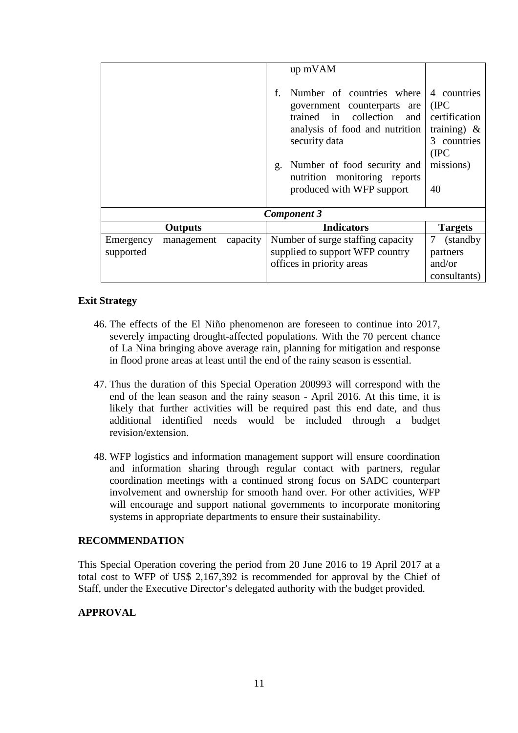|                    |                |          | f. | up mVAM<br>Number of countries where<br>government counterparts are<br>trained in collection<br>and<br>analysis of food and nutrition | 4 countries<br>(IPC)<br>certification<br>training) $\&$ |  |  |  |
|--------------------|----------------|----------|----|---------------------------------------------------------------------------------------------------------------------------------------|---------------------------------------------------------|--|--|--|
|                    |                |          | g. | security data<br>Number of food security and<br>nutrition monitoring reports<br>produced with WFP support                             | countries<br>3<br>(IPC)<br>missions)<br>40              |  |  |  |
| <b>Component 3</b> |                |          |    |                                                                                                                                       |                                                         |  |  |  |
|                    | <b>Outputs</b> |          |    | <b>Indicators</b>                                                                                                                     | <b>Targets</b>                                          |  |  |  |
| Emergency          | management     | capacity |    | Number of surge staffing capacity                                                                                                     | 7<br>(standby)                                          |  |  |  |
| supported          |                |          |    | supplied to support WFP country                                                                                                       | partners                                                |  |  |  |
|                    |                |          |    | offices in priority areas                                                                                                             | and/or                                                  |  |  |  |
|                    |                |          |    |                                                                                                                                       | consultants)                                            |  |  |  |

## **Exit Strategy**

- 46. The effects of the El Niño phenomenon are foreseen to continue into 2017, severely impacting drought-affected populations. With the 70 percent chance of La Nina bringing above average rain, planning for mitigation and response in flood prone areas at least until the end of the rainy season is essential.
- 47. Thus the duration of this Special Operation 200993 will correspond with the end of the lean season and the rainy season - April 2016. At this time, it is likely that further activities will be required past this end date, and thus additional identified needs would be included through a budget revision/extension.
- 48. WFP logistics and information management support will ensure coordination and information sharing through regular contact with partners, regular coordination meetings with a continued strong focus on SADC counterpart involvement and ownership for smooth hand over. For other activities, WFP will encourage and support national governments to incorporate monitoring systems in appropriate departments to ensure their sustainability.

## **RECOMMENDATION**

This Special Operation covering the period from 20 June 2016 to 19 April 2017 at a total cost to WFP of US\$ 2,167,392 is recommended for approval by the Chief of Staff, under the Executive Director's delegated authority with the budget provided.

## **APPROVAL**